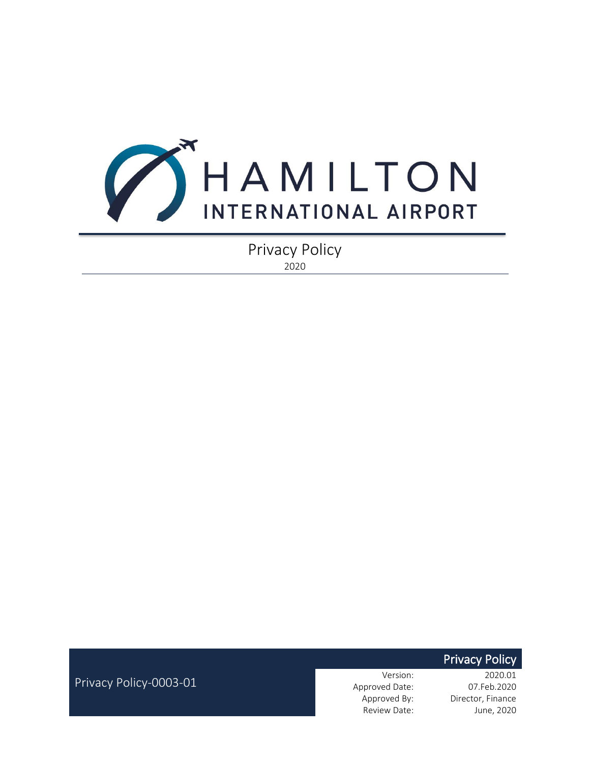

Privacy Policy 2020

**Privacy Policy** 

Privacy Policy-0003-01

Version: 2020.01 Approved Date: 07.Feb.2020 Approved By: Director, Finance Review Date: June, 2020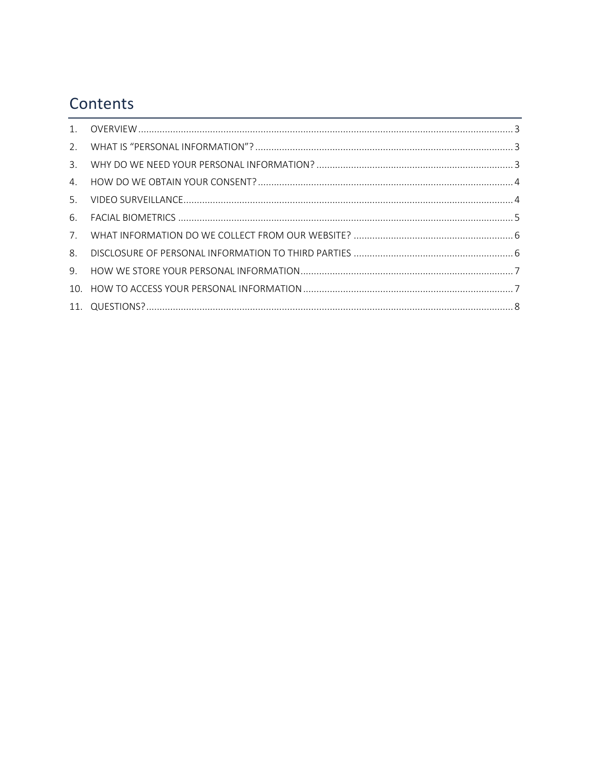## Contents

| 4 <sub>1</sub> |  |
|----------------|--|
| 5.             |  |
| 6.             |  |
|                |  |
| 8.             |  |
| 9.             |  |
|                |  |
|                |  |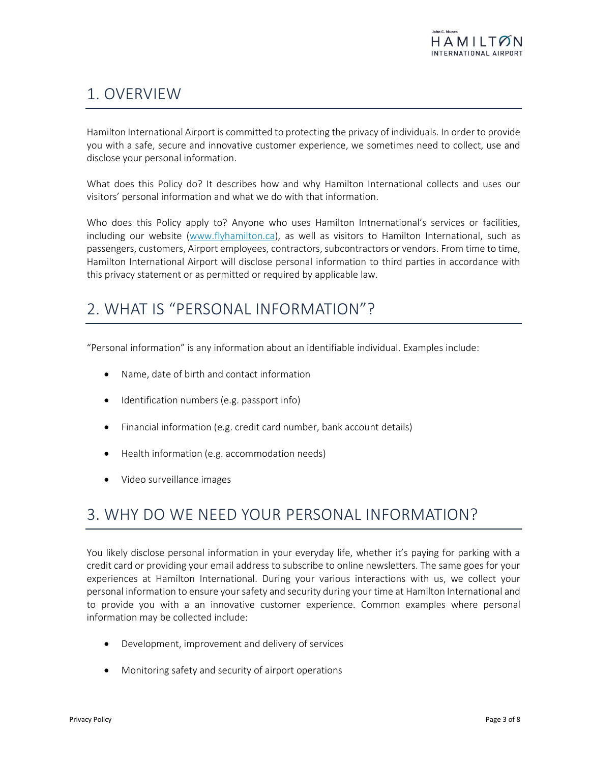## <span id="page-2-0"></span>1. OVERVIEW

Hamilton International Airport is committed to protecting the privacy of individuals. In order to provide you with a safe, secure and innovative customer experience, we sometimes need to collect, use and disclose your personal information.

What does this Policy do? It describes how and why Hamilton International collects and uses our visitors' personal information and what we do with that information.

Who does this Policy apply to? Anyone who uses Hamilton Intnernational's services or facilities, including our website [\(www.flyhamilton.ca\)](file:///C:/Users/CAwalt/AppData/Local/Microsoft/Windows/INetCache/Content.Outlook/OM0X8YAM/www.flyhamilton.ca), as well as visitors to Hamilton International, such as passengers, customers, Airport employees, contractors, subcontractors or vendors. From time to time, Hamilton International Airport will disclose personal information to third parties in accordance with this privacy statement or as permitted or required by applicable law.

### <span id="page-2-1"></span>2. WHAT IS "PERSONAL INFORMATION"?

"Personal information" is any information about an identifiable individual. Examples include:

- Name, date of birth and contact information
- Identification numbers (e.g. passport info)
- Financial information (e.g. credit card number, bank account details)
- Health information (e.g. accommodation needs)
- Video surveillance images

### <span id="page-2-2"></span>3. WHY DO WE NEED YOUR PERSONAL INFORMATION?

You likely disclose personal information in your everyday life, whether it's paying for parking with a credit card or providing your email address to subscribe to online newsletters. The same goes for your experiences at Hamilton International. During your various interactions with us, we collect your personal information to ensure your safety and security during your time at Hamilton International and to provide you with a an innovative customer experience. Common examples where personal information may be collected include:

- Development, improvement and delivery of services
- Monitoring safety and security of airport operations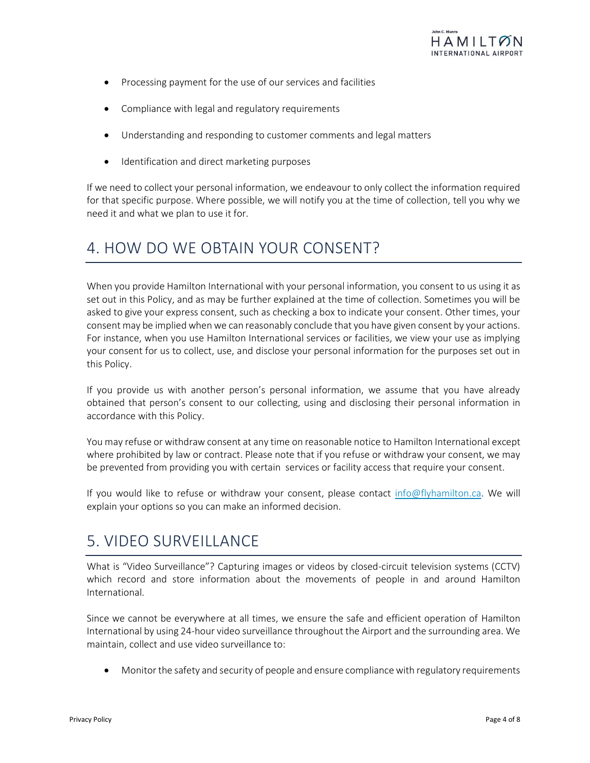- Processing payment for the use of our services and facilities
- Compliance with legal and regulatory requirements
- Understanding and responding to customer comments and legal matters
- Identification and direct marketing purposes

If we need to collect your personal information, we endeavour to only collect the information required for that specific purpose. Where possible, we will notify you at the time of collection, tell you why we need it and what we plan to use it for.

#### <span id="page-3-0"></span>4. HOW DO WE OBTAIN YOUR CONSENT?

When you provide Hamilton International with your personal information, you consent to us using it as set out in this Policy, and as may be further explained at the time of collection. Sometimes you will be asked to give your express consent, such as checking a box to indicate your consent. Other times, your consent may be implied when we can reasonably conclude that you have given consent by your actions. For instance, when you use Hamilton International services or facilities, we view your use as implying your consent for us to collect, use, and disclose your personal information for the purposes set out in this Policy.

If you provide us with another person's personal information, we assume that you have already obtained that person's consent to our collecting, using and disclosing their personal information in accordance with this Policy.

You may refuse or withdraw consent at any time on reasonable notice to Hamilton International except where prohibited by law or contract. Please note that if you refuse or withdraw your consent, we may be prevented from providing you with certain services or facility access that require your consent.

If you would like to refuse or withdraw your consent, please contact [info@flyhamilton.ca.](mailto:info@flyhamilton.ca) We will explain your options so you can make an informed decision.

#### <span id="page-3-1"></span>5. VIDEO SURVEILLANCE

What is "Video Surveillance"? Capturing images or videos by closed-circuit television systems (CCTV) which record and store information about the movements of people in and around Hamilton International.

Since we cannot be everywhere at all times, we ensure the safe and efficient operation of Hamilton International by using 24-hour video surveillance throughout the Airport and the surrounding area. We maintain, collect and use video surveillance to:

• Monitor the safety and security of people and ensure compliance with regulatory requirements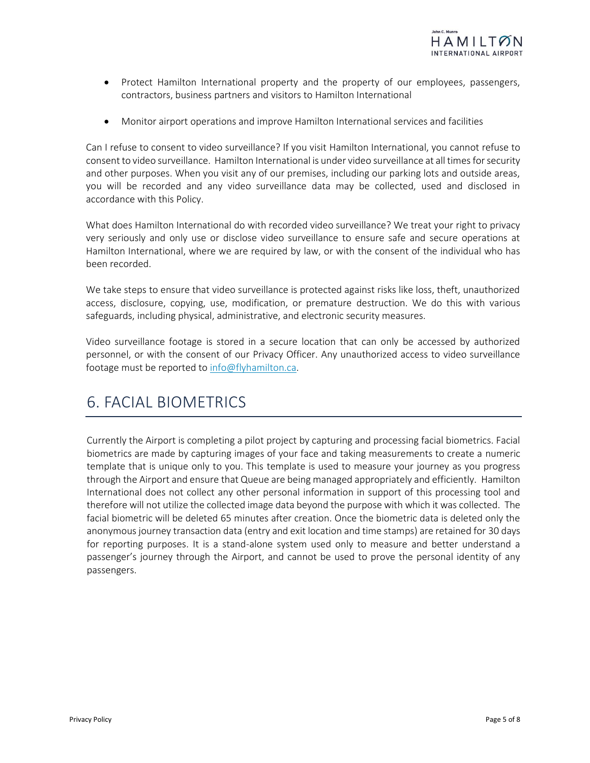

- Protect Hamilton International property and the property of our employees, passengers, contractors, business partners and visitors to Hamilton International
- Monitor airport operations and improve Hamilton International services and facilities

Can I refuse to consent to video surveillance? If you visit Hamilton International, you cannot refuse to consent to video surveillance. Hamilton International is under video surveillance at all times for security and other purposes. When you visit any of our premises, including our parking lots and outside areas, you will be recorded and any video surveillance data may be collected, used and disclosed in accordance with this Policy.

What does Hamilton International do with recorded video surveillance? We treat your right to privacy very seriously and only use or disclose video surveillance to ensure safe and secure operations at Hamilton International, where we are required by law, or with the consent of the individual who has been recorded.

We take steps to ensure that video surveillance is protected against risks like loss, theft, unauthorized access, disclosure, copying, use, modification, or premature destruction. We do this with various safeguards, including physical, administrative, and electronic security measures.

Video surveillance footage is stored in a secure location that can only be accessed by authorized personnel, or with the consent of our Privacy Officer. Any unauthorized access to video surveillance footage must be reported to [info@flyhamilton.ca.](mailto:info@flyhamilton.ca)

### <span id="page-4-0"></span>6. FACIAL BIOMETRICS

Currently the Airport is completing a pilot project by capturing and processing facial biometrics. Facial biometrics are made by capturing images of your face and taking measurements to create a numeric template that is unique only to you. This template is used to measure your journey as you progress through the Airport and ensure that Queue are being managed appropriately and efficiently. Hamilton International does not collect any other personal information in support of this processing tool and therefore will not utilize the collected image data beyond the purpose with which it was collected. The facial biometric will be deleted 65 minutes after creation. Once the biometric data is deleted only the anonymous journey transaction data (entry and exit location and time stamps) are retained for 30 days for reporting purposes. It is a stand-alone system used only to measure and better understand a passenger's journey through the Airport, and cannot be used to prove the personal identity of any passengers.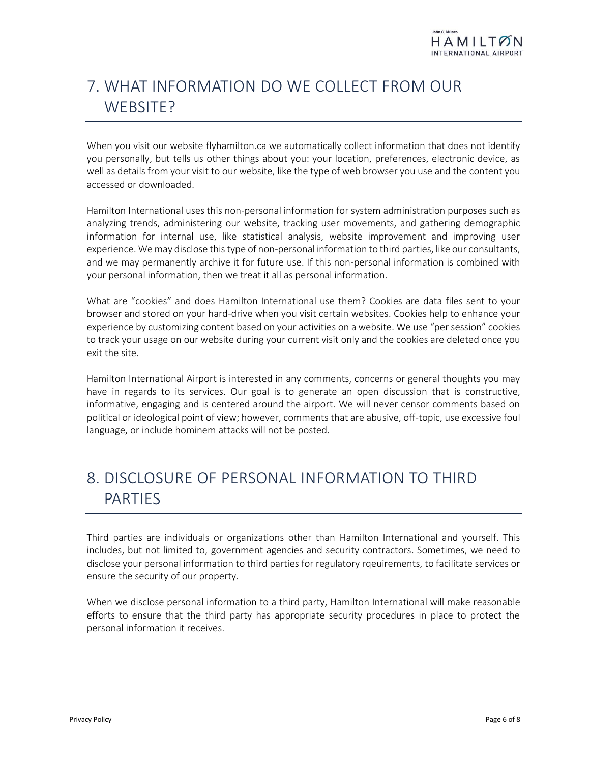# <span id="page-5-0"></span>7. WHAT INFORMATION DO WE COLLECT FROM OUR WEBSITE?

When you visit our website flyhamilton.ca we automatically collect information that does not identify you personally, but tells us other things about you: your location, preferences, electronic device, as well as details from your visit to our website, like the type of web browser you use and the content you accessed or downloaded.

Hamilton International uses this non-personal information for system administration purposes such as analyzing trends, administering our website, tracking user movements, and gathering demographic information for internal use, like statistical analysis, website improvement and improving user experience. We may disclose this type of non-personal information to third parties, like our consultants, and we may permanently archive it for future use. If this non-personal information is combined with your personal information, then we treat it all as personal information.

What are "cookies" and does Hamilton International use them? Cookies are data files sent to your browser and stored on your hard-drive when you visit certain websites. Cookies help to enhance your experience by customizing content based on your activities on a website. We use "per session" cookies to track your usage on our website during your current visit only and the cookies are deleted once you exit the site.

Hamilton International Airport is interested in any comments, concerns or general thoughts you may have in regards to its services. Our goal is to generate an open discussion that is constructive, informative, engaging and is centered around the airport. We will never censor comments based on political or ideological point of view; however, comments that are abusive, off-topic, use excessive foul language, or include hominem attacks will not be posted.

# <span id="page-5-1"></span>8. DISCLOSURE OF PERSONAL INFORMATION TO THIRD PARTIES

Third parties are individuals or organizations other than Hamilton International and yourself. This includes, but not limited to, government agencies and security contractors. Sometimes, we need to disclose your personal information to third parties for regulatory rqeuirements, to facilitate services or ensure the security of our property.

When we disclose personal information to a third party, Hamilton International will make reasonable efforts to ensure that the third party has appropriate security procedures in place to protect the personal information it receives.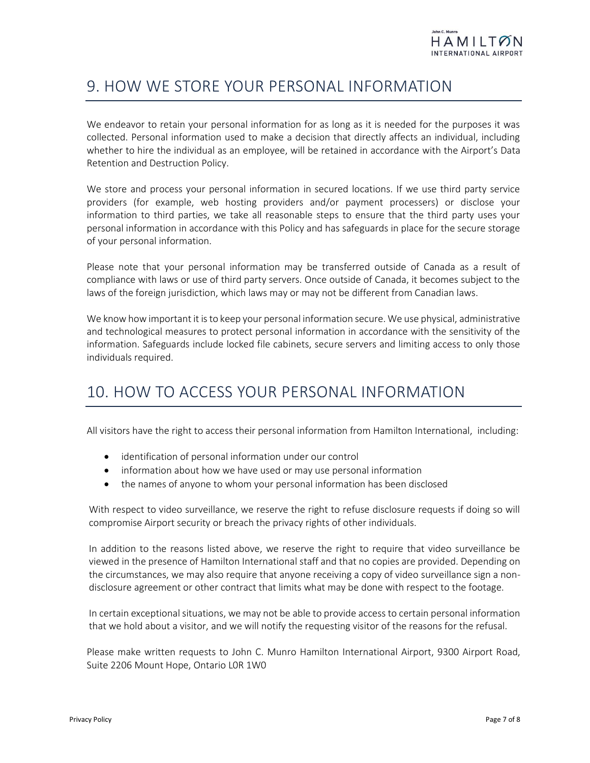### <span id="page-6-0"></span>9. HOW WE STORE YOUR PERSONAL INFORMATION

We endeavor to retain your personal information for as long as it is needed for the purposes it was collected. Personal information used to make a decision that directly affects an individual, including whether to hire the individual as an employee, will be retained in accordance with the Airport's Data Retention and Destruction Policy.

We store and process your personal information in secured locations. If we use third party service providers (for example, web hosting providers and/or payment processers) or disclose your information to third parties, we take all reasonable steps to ensure that the third party uses your personal information in accordance with this Policy and has safeguards in place for the secure storage of your personal information.

Please note that your personal information may be transferred outside of Canada as a result of compliance with laws or use of third party servers. Once outside of Canada, it becomes subject to the laws of the foreign jurisdiction, which laws may or may not be different from Canadian laws.

We know how important it is to keep your personal information secure. We use physical, administrative and technological measures to protect personal information in accordance with the sensitivity of the information. Safeguards include locked file cabinets, secure servers and limiting access to only those individuals required.

### <span id="page-6-1"></span>10. HOW TO ACCESS YOUR PERSONAL INFORMATION

All visitors have the right to access their personal information from Hamilton International, including:

- identification of personal information under our control
- information about how we have used or may use personal information
- the names of anyone to whom your personal information has been disclosed

With respect to video surveillance, we reserve the right to refuse disclosure requests if doing so will compromise Airport security or breach the privacy rights of other individuals.

In addition to the reasons listed above, we reserve the right to require that video surveillance be viewed in the presence of Hamilton International staff and that no copies are provided. Depending on the circumstances, we may also require that anyone receiving a copy of video surveillance sign a nondisclosure agreement or other contract that limits what may be done with respect to the footage.

In certain exceptional situations, we may not be able to provide access to certain personal information that we hold about a visitor, and we will notify the requesting visitor of the reasons for the refusal.

Please make written requests to John C. Munro Hamilton International Airport, 9300 Airport Road, Suite 2206 Mount Hope, Ontario L0R 1W0